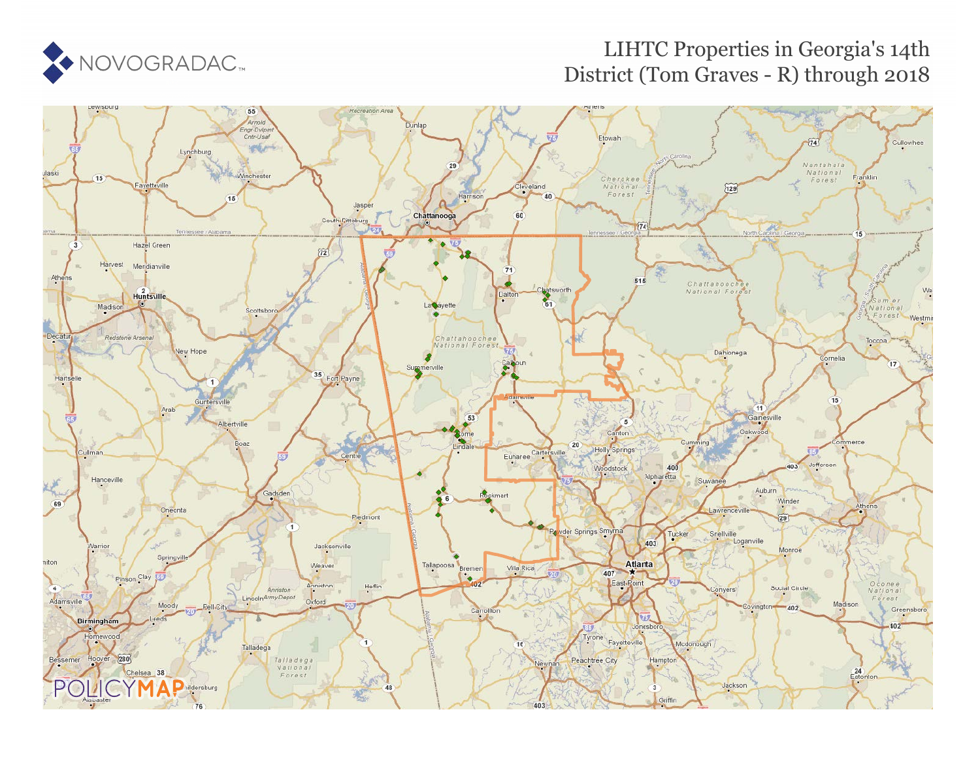

### LIHTC Properties in Georgia's 14th District (Tom Graves - R) through 2018

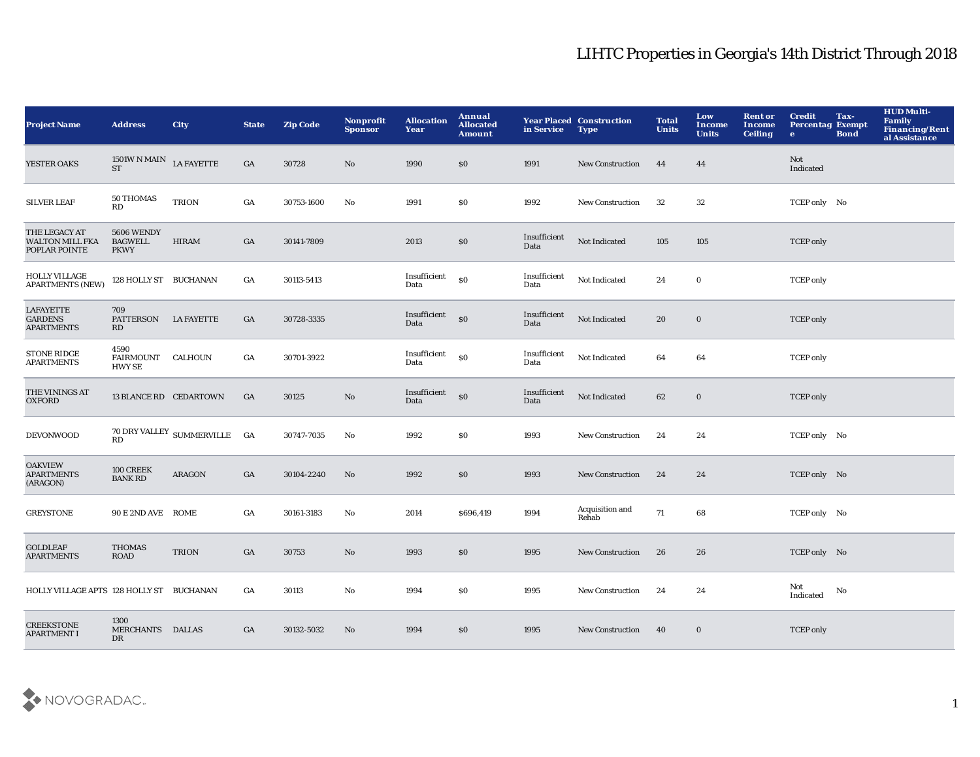| <b>Project Name</b>                                      | <b>Address</b>                                                  | <b>City</b>                                        | <b>State</b>     | <b>Zip Code</b> | Nonprofit<br><b>Sponsor</b> | <b>Allocation</b><br>Year | Annual<br><b>Allocated</b><br><b>Amount</b>      | in Service           | <b>Year Placed Construction</b><br><b>Type</b> | <b>Total</b><br><b>Units</b> | Low<br><b>Income</b><br><b>Units</b> | <b>Rent or</b><br>Income<br><b>Ceiling</b> | <b>Credit</b><br><b>Percentag Exempt</b><br>$\bullet$ | Tax-<br><b>Bond</b> | <b>HUD Multi-</b><br>Family<br><b>Financing/Rent</b><br>al Assistance |
|----------------------------------------------------------|-----------------------------------------------------------------|----------------------------------------------------|------------------|-----------------|-----------------------------|---------------------------|--------------------------------------------------|----------------------|------------------------------------------------|------------------------------|--------------------------------------|--------------------------------------------|-------------------------------------------------------|---------------------|-----------------------------------------------------------------------|
| YESTER OAKS                                              | $1501\mathrm{W}$ N MAIN $\rm\,LAFAYETTE$<br>$\operatorname{ST}$ |                                                    | GA               | 30728           | No                          | 1990                      | \$0                                              | 1991                 | <b>New Construction</b>                        | 44                           | 44                                   |                                            | Not<br>Indicated                                      |                     |                                                                       |
| <b>SILVER LEAF</b>                                       | 50 THOMAS<br>$\mathbf{R}\mathbf{D}$                             | <b>TRION</b>                                       | GA               | 30753-1600      | $\mathbf{No}$               | 1991                      | \$0                                              | 1992                 | New Construction                               | 32                           | 32                                   |                                            | TCEP only No                                          |                     |                                                                       |
| THE LEGACY AT<br><b>WALTON MILL FKA</b><br>POPLAR POINTE | 5606 WENDY<br><b>BAGWELL</b><br><b>PKWY</b>                     | <b>HIRAM</b>                                       | GA               | 30141-7809      |                             | 2013                      | \$0                                              | Insufficient<br>Data | Not Indicated                                  | 105                          | 105                                  |                                            | <b>TCEP</b> only                                      |                     |                                                                       |
| <b>HOLLY VILLAGE</b><br><b>APARTMENTS (NEW)</b>          | 128 HOLLY ST BUCHANAN                                           |                                                    | $_{\mathrm{GA}}$ | 30113-5413      |                             | Insufficient<br>Data      | \$0                                              | Insufficient<br>Data | Not Indicated                                  | 24                           | $\mathbf 0$                          |                                            | <b>TCEP</b> only                                      |                     |                                                                       |
| <b>LAFAYETTE</b><br><b>GARDENS</b><br><b>APARTMENTS</b>  | 709<br>PATTERSON LA FAYETTE<br><b>RD</b>                        |                                                    | GA               | 30728-3335      |                             | Insufficient<br>Data      | $\boldsymbol{\mathsf{S}}\boldsymbol{\mathsf{O}}$ | Insufficient<br>Data | Not Indicated                                  | 20                           | $\bf{0}$                             |                                            | <b>TCEP</b> only                                      |                     |                                                                       |
| <b>STONE RIDGE</b><br><b>APARTMENTS</b>                  | 4590<br><b>FAIRMOUNT</b><br><b>HWY SE</b>                       | <b>CALHOUN</b>                                     | GA               | 30701-3922      |                             | Insufficient<br>Data      | $\boldsymbol{\mathsf{S}}\boldsymbol{\mathsf{O}}$ | Insufficient<br>Data | Not Indicated                                  | 64                           | 64                                   |                                            | <b>TCEP</b> only                                      |                     |                                                                       |
| THE VININGS AT<br><b>OXFORD</b>                          | 13 BLANCE RD CEDARTOWN                                          |                                                    | GA               | 30125           | $\rm No$                    | Insufficient<br>Data      | \$0                                              | Insufficient<br>Data | Not Indicated                                  | 62                           | $\mathbf 0$                          |                                            | <b>TCEP</b> only                                      |                     |                                                                       |
| <b>DEVONWOOD</b>                                         | RD                                                              | $70$ DRY VALLEY $\,$ SUMMERVILLE $\,$ $\,$ GA $\,$ |                  | 30747-7035      | $\mathbf{No}$               | 1992                      | \$0                                              | 1993                 | New Construction                               | 24                           | 24                                   |                                            | TCEP only No                                          |                     |                                                                       |
| <b>OAKVIEW</b><br><b>APARTMENTS</b><br>(ARAGON)          | 100 CREEK<br><b>BANK RD</b>                                     | <b>ARAGON</b>                                      | GA               | 30104-2240      | No                          | 1992                      | \$0                                              | 1993                 | <b>New Construction</b>                        | 24                           | 24                                   |                                            | TCEP only No                                          |                     |                                                                       |
| <b>GREYSTONE</b>                                         | 90 E 2ND AVE ROME                                               |                                                    | GA               | 30161-3183      | No                          | 2014                      | \$696,419                                        | 1994                 | Acquisition and<br>Rehab                       | 71                           | 68                                   |                                            | TCEP only No                                          |                     |                                                                       |
| <b>GOLDLEAF</b><br><b>APARTMENTS</b>                     | <b>THOMAS</b><br><b>ROAD</b>                                    | <b>TRION</b>                                       | GA               | 30753           | No                          | 1993                      | \$0                                              | 1995                 | <b>New Construction</b>                        | 26                           | 26                                   |                                            | TCEP only No                                          |                     |                                                                       |
| HOLLY VILLAGE APTS 128 HOLLY ST BUCHANAN                 |                                                                 |                                                    | GA               | 30113           | No                          | 1994                      | <b>SO</b>                                        | 1995                 | <b>New Construction</b>                        | 24                           | 24                                   |                                            | Not<br>Indicated                                      | No                  |                                                                       |
| <b>CREEKSTONE</b><br><b>APARTMENT I</b>                  | 1300<br>MERCHANTS DALLAS<br>DR                                  |                                                    | GA               | 30132-5032      | No                          | 1994                      | \$0                                              | 1995                 | <b>New Construction</b>                        | 40                           | $\bf{0}$                             |                                            | <b>TCEP</b> only                                      |                     |                                                                       |

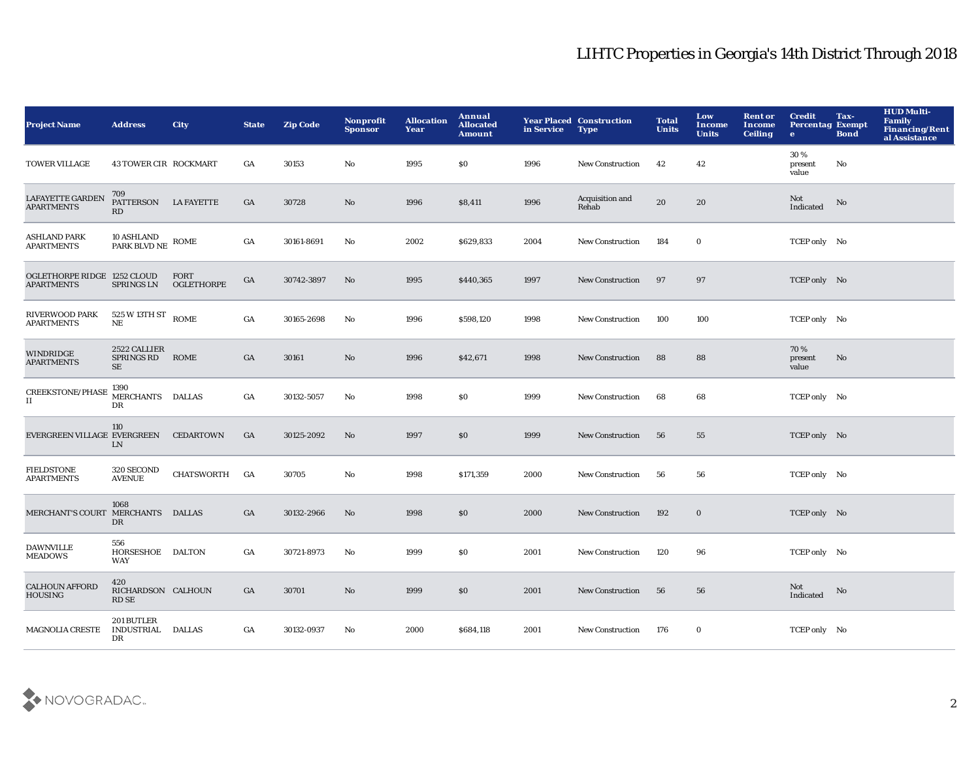| <b>Project Name</b>                              | <b>Address</b>                                              | <b>City</b>               | <b>State</b>     | <b>Zip Code</b> | Nonprofit<br><b>Sponsor</b> | <b>Allocation</b><br>Year | <b>Annual</b><br><b>Allocated</b><br><b>Amount</b> | in Service | <b>Year Placed Construction</b><br><b>Type</b> | <b>Total</b><br><b>Units</b> | Low<br>Income<br><b>Units</b> | <b>Rent or</b><br><b>Income</b><br><b>Ceiling</b> | <b>Credit</b><br><b>Percentag Exempt</b><br>$\bullet$ | Tax-<br><b>Bond</b> | <b>HUD Multi-</b><br><b>Family</b><br>Financing/Rent<br>al Assistance |
|--------------------------------------------------|-------------------------------------------------------------|---------------------------|------------------|-----------------|-----------------------------|---------------------------|----------------------------------------------------|------------|------------------------------------------------|------------------------------|-------------------------------|---------------------------------------------------|-------------------------------------------------------|---------------------|-----------------------------------------------------------------------|
| <b>TOWER VILLAGE</b>                             | 43 TOWER CIR ROCKMART                                       |                           | GA               | 30153           | No                          | 1995                      | \$0                                                | 1996       | New Construction                               | 42                           | 42                            |                                                   | 30%<br>present<br>value                               | No                  |                                                                       |
| LAFAYETTE GARDEN<br><b>APARTMENTS</b>            | 709<br>PATTERSON LA FAYETTE<br>RD                           |                           | GA               | 30728           | No                          | 1996                      | \$8,411                                            | 1996       | Acquisition and<br>Rehab                       | 20                           | 20                            |                                                   | Not<br>Indicated                                      | No                  |                                                                       |
| <b>ASHLAND PARK</b><br><b>APARTMENTS</b>         | $10$ ASHLAND $_{\rm{PARK\;BLVD\; NE}}$ ROME                 |                           | $_{\mathrm{GA}}$ | 30161-8691      | No                          | 2002                      | \$629,833                                          | 2004       | <b>New Construction</b>                        | 184                          | $\bf{0}$                      |                                                   | TCEP only No                                          |                     |                                                                       |
| OGLETHORPE RIDGE 1252 CLOUD<br><b>APARTMENTS</b> | SPRINGS LN                                                  | <b>FORT</b><br>OGLETHORPE | GA               | 30742-3897      | No                          | 1995                      | \$440,365                                          | 1997       | <b>New Construction</b>                        | 97                           | 97                            |                                                   | TCEP only No                                          |                     |                                                                       |
| RIVERWOOD PARK<br><b>APARTMENTS</b>              | $525\,\mathrm{W}$ 13TH ST $_{\, \mathrm{ROME}}$<br>$\rm NE$ |                           | $_{\mathrm{GA}}$ | 30165-2698      | No                          | 1996                      | \$598,120                                          | 1998       | <b>New Construction</b>                        | 100                          | 100                           |                                                   | TCEP only No                                          |                     |                                                                       |
| WINDRIDGE<br><b>APARTMENTS</b>                   | 2522 CALLIER<br><b>SPRINGS RD</b><br>SE                     | ROME                      | GA               | 30161           | No                          | 1996                      | \$42,671                                           | 1998       | <b>New Construction</b>                        | 88                           | 88                            |                                                   | 70%<br>present<br>value                               | No                  |                                                                       |
| <b>CREEKSTONE/PHASE</b><br>н                     | 1390<br>MERCHANTS DALLAS<br>$_{\rm DR}$                     |                           | GA               | 30132-5057      | No                          | 1998                      | \$0                                                | 1999       | <b>New Construction</b>                        | 68                           | 68                            |                                                   | TCEP only No                                          |                     |                                                                       |
| EVERGREEN VILLAGE EVERGREEN                      | 110<br>LN                                                   | <b>CEDARTOWN</b>          | GA               | 30125-2092      | No                          | 1997                      | \$0                                                | 1999       | <b>New Construction</b>                        | 56                           | 55                            |                                                   | TCEP only No                                          |                     |                                                                       |
| <b>FIELDSTONE</b><br><b>APARTMENTS</b>           | 320 SECOND<br><b>AVENUE</b>                                 | CHATSWORTH                | <b>GA</b>        | 30705           | No                          | 1998                      | \$171,359                                          | 2000       | <b>New Construction</b>                        | 56                           | 56                            |                                                   | TCEP only No                                          |                     |                                                                       |
| MERCHANT'S COURT MERCHANTS DALLAS                | 1068<br>DR                                                  |                           | GA               | 30132-2966      | No                          | 1998                      | $\$0$                                              | 2000       | <b>New Construction</b>                        | 192                          | $\mathbf 0$                   |                                                   | TCEP only No                                          |                     |                                                                       |
| <b>DAWNVILLE</b><br><b>MEADOWS</b>               | 556<br>HORSESHOE DALTON<br>WAY                              |                           | GA               | 30721-8973      | No                          | 1999                      | \$0                                                | 2001       | <b>New Construction</b>                        | 120                          | 96                            |                                                   | TCEP only No                                          |                     |                                                                       |
| <b>CALHOUN AFFORD</b><br><b>HOUSING</b>          | 420<br>RICHARDSON CALHOUN<br>RD SE                          |                           | GA               | 30701           | No                          | 1999                      | \$0                                                | 2001       | <b>New Construction</b>                        | 56                           | 56                            |                                                   | Not<br>Indicated                                      | No                  |                                                                       |
| <b>MAGNOLIA CRESTE</b>                           | 201 BUTLER<br>INDUSTRIAL<br>DR                              | <b>DALLAS</b>             | GA               | 30132-0937      | No                          | 2000                      | \$684,118                                          | 2001       | <b>New Construction</b>                        | 176                          | $\bf{0}$                      |                                                   | TCEP only No                                          |                     |                                                                       |

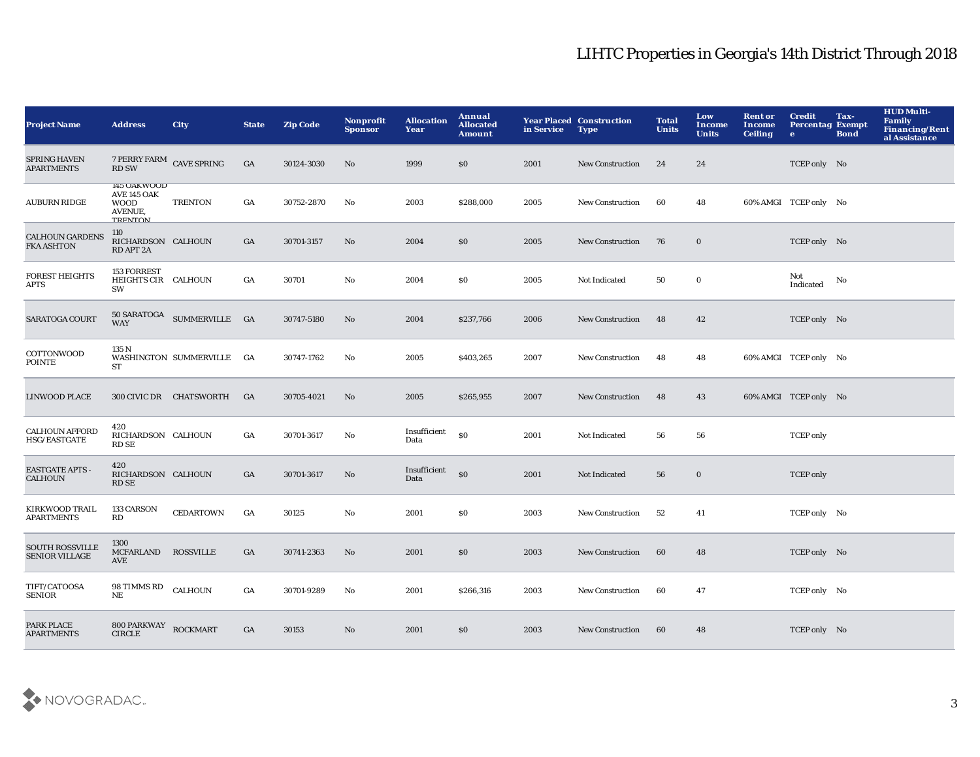| <b>Project Name</b>                             | <b>Address</b>                                                                | <b>City</b>                                 | <b>State</b> | <b>Zip Code</b> | <b>Nonprofit</b><br><b>Sponsor</b> | <b>Allocation</b><br>Year | Annual<br><b>Allocated</b><br><b>Amount</b> | in Service | <b>Year Placed Construction</b><br><b>Type</b> | <b>Total</b><br><b>Units</b> | Low<br><b>Income</b><br><b>Units</b> | <b>Rent or</b><br>Income<br><b>Ceiling</b> | <b>Credit</b><br><b>Percentag Exempt</b><br>$\bullet$ | Tax-<br><b>Bond</b> | <b>HUD Multi-</b><br>Family<br><b>Financing/Rent</b><br>al Assistance |
|-------------------------------------------------|-------------------------------------------------------------------------------|---------------------------------------------|--------------|-----------------|------------------------------------|---------------------------|---------------------------------------------|------------|------------------------------------------------|------------------------------|--------------------------------------|--------------------------------------------|-------------------------------------------------------|---------------------|-----------------------------------------------------------------------|
| <b>SPRING HAVEN</b><br><b>APARTMENTS</b>        | 7 PERRY FARM CAVE SPRING<br><b>RD SW</b>                                      |                                             | GA           | 30124-3030      | No                                 | 1999                      | \$0                                         | 2001       | <b>New Construction</b>                        | 24                           | 24                                   |                                            | TCEP only No                                          |                     |                                                                       |
| <b>AUBURN RIDGE</b>                             | 145 OAKWOOD<br><b>AVE 145 OAK</b><br><b>WOOD</b><br>AVENUE,<br><b>TRENTON</b> | <b>TRENTON</b>                              | GA           | 30752-2870      | $\mathbf{N}\mathbf{o}$             | 2003                      | \$288,000                                   | 2005       | New Construction                               | 60                           | 48                                   |                                            | 60% AMGI TCEP only No                                 |                     |                                                                       |
| <b>CALHOUN GARDENS</b><br><b>FKA ASHTON</b>     | 110<br>RICHARDSON CALHOUN<br>RD APT 2A                                        |                                             | GA           | 30701-3157      | No                                 | 2004                      | \$0                                         | 2005       | <b>New Construction</b>                        | 76                           | $\mathbf 0$                          |                                            | TCEP only No                                          |                     |                                                                       |
| <b>FOREST HEIGHTS</b><br>APTS                   | 153 FORREST<br>HEIGHTS CIR CALHOUN<br>SW                                      |                                             | GA           | 30701           | No                                 | 2004                      | \$0                                         | 2005       | Not Indicated                                  | 50                           | $\bf{0}$                             |                                            | Not<br>Indicated                                      | No                  |                                                                       |
| SARATOGA COURT                                  | <b>WAY</b>                                                                    | $50$ SARATOGA $\,$ SUMMERVILLE $\,$ GA $\,$ |              | 30747-5180      | No                                 | 2004                      | \$237,766                                   | 2006       | New Construction                               | 48                           | 42                                   |                                            | TCEP only No                                          |                     |                                                                       |
| COTTONWOOD<br><b>POINTE</b>                     | 135 N<br>ST                                                                   | WASHINGTON SUMMERVILLE GA                   |              | 30747-1762      | No                                 | 2005                      | \$403,265                                   | 2007       | <b>New Construction</b>                        | 48                           | 48                                   |                                            | 60% AMGI TCEP only No                                 |                     |                                                                       |
| <b>LINWOOD PLACE</b>                            |                                                                               | 300 CIVIC DR CHATSWORTH                     | GA           | 30705-4021      | No                                 | 2005                      | \$265,955                                   | 2007       | <b>New Construction</b>                        | 48                           | 43                                   |                                            | 60% AMGI TCEP only No                                 |                     |                                                                       |
| <b>CALHOUN AFFORD</b><br>HSG/EASTGATE           | 420<br>RICHARDSON CALHOUN<br><b>RD SE</b>                                     |                                             | GA           | 30701-3617      | $\mathbf{N}\mathbf{o}$             | Insufficient<br>Data      | \$0                                         | 2001       | Not Indicated                                  | 56                           | 56                                   |                                            | <b>TCEP</b> only                                      |                     |                                                                       |
| <b>EASTGATE APTS -</b><br><b>CALHOUN</b>        | 420<br>RICHARDSON CALHOUN<br><b>RD SE</b>                                     |                                             | GA           | 30701-3617      | No                                 | Insufficient<br>Data      | \$0                                         | 2001       | Not Indicated                                  | 56                           | $\bf{0}$                             |                                            | <b>TCEP</b> only                                      |                     |                                                                       |
| KIRKWOOD TRAIL<br><b>APARTMENTS</b>             | 133 CARSON<br>RD                                                              | <b>CEDARTOWN</b>                            | GA           | 30125           | No                                 | 2001                      | \$0                                         | 2003       | <b>New Construction</b>                        | 52                           | 41                                   |                                            | TCEP only No                                          |                     |                                                                       |
| <b>SOUTH ROSSVILLE</b><br><b>SENIOR VILLAGE</b> | 1300<br>MCFARLAND<br>AVE                                                      | <b>ROSSVILLE</b>                            | GA           | 30741-2363      | No                                 | 2001                      | \$0                                         | 2003       | <b>New Construction</b>                        | 60                           | 48                                   |                                            | TCEP only No                                          |                     |                                                                       |
| TIFT/CATOOSA<br><b>SENIOR</b>                   | 98 TIMMS RD<br>NE                                                             | <b>CALHOUN</b>                              | GA           | 30701-9289      | No                                 | 2001                      | \$266,316                                   | 2003       | <b>New Construction</b>                        | 60                           | 47                                   |                                            | TCEP only No                                          |                     |                                                                       |
| PARK PLACE<br><b>APARTMENTS</b>                 | 800 PARKWAY<br><b>CIRCLE</b>                                                  | <b>ROCKMART</b>                             | GA           | 30153           | No                                 | 2001                      | \$0                                         | 2003       | <b>New Construction</b>                        | 60                           | 48                                   |                                            | TCEP only No                                          |                     |                                                                       |

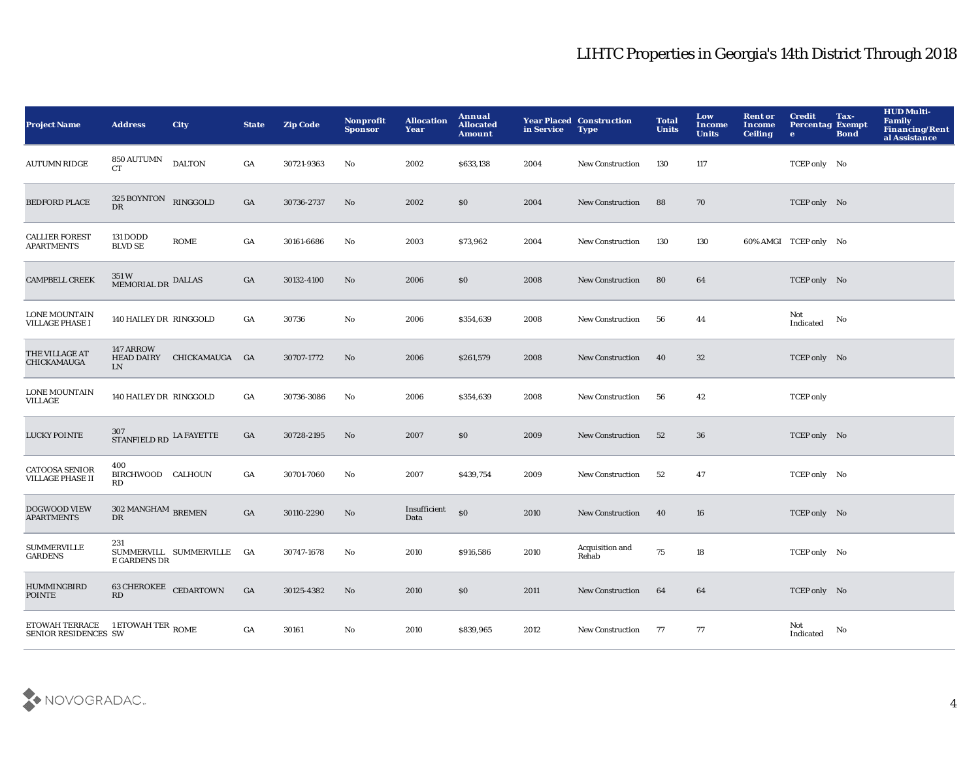| <b>Project Name</b>                              | <b>Address</b>                       | <b>City</b>               | <b>State</b>     | <b>Zip Code</b> | Nonprofit<br><b>Sponsor</b> | <b>Allocation</b><br>Year | Annual<br><b>Allocated</b><br><b>Amount</b> | in Service | <b>Year Placed Construction</b><br><b>Type</b> | <b>Total</b><br><b>Units</b> | Low<br><b>Income</b><br><b>Units</b> | <b>Rent or</b><br>Income<br><b>Ceiling</b> | <b>Credit</b><br><b>Percentag Exempt</b><br>$\bullet$ | Tax-<br><b>Bond</b> | <b>HUD Multi-</b><br><b>Family</b><br>Financing/Rent<br>al Assistance |
|--------------------------------------------------|--------------------------------------|---------------------------|------------------|-----------------|-----------------------------|---------------------------|---------------------------------------------|------------|------------------------------------------------|------------------------------|--------------------------------------|--------------------------------------------|-------------------------------------------------------|---------------------|-----------------------------------------------------------------------|
| <b>AUTUMN RIDGE</b>                              | 850 AUTUMN<br><b>CT</b>              | <b>DALTON</b>             | GA               | 30721-9363      | No                          | 2002                      | \$633,138                                   | 2004       | <b>New Construction</b>                        | 130                          | 117                                  |                                            | TCEP only No                                          |                     |                                                                       |
| <b>BEDFORD PLACE</b>                             | 325 BOYNTON RINGGOLD<br>$_{\rm DR}$  |                           | GA               | 30736-2737      | No                          | 2002                      | \$0                                         | 2004       | <b>New Construction</b>                        | 88                           | 70                                   |                                            | TCEP only No                                          |                     |                                                                       |
| <b>CALLIER FOREST</b><br><b>APARTMENTS</b>       | 131 DODD<br><b>BLVD SE</b>           | <b>ROME</b>               | GA               | 30161-6686      | $\mathbf{N}\mathbf{o}$      | 2003                      | \$73,962                                    | 2004       | <b>New Construction</b>                        | 130                          | 130                                  |                                            | 60% AMGI TCEP only No                                 |                     |                                                                       |
| <b>CAMPBELL CREEK</b>                            | 351 W<br>MEMORIAL DR DALLAS          |                           | GA               | 30132-4100      | $\mathbf{N}\mathbf{o}$      | 2006                      | $\$0$                                       | 2008       | <b>New Construction</b>                        | 80                           | 64                                   |                                            | TCEP only No                                          |                     |                                                                       |
| <b>LONE MOUNTAIN</b><br>VILLAGE PHASE I          | 140 HAILEY DR RINGGOLD               |                           | GA               | 30736           | No                          | 2006                      | \$354,639                                   | 2008       | New Construction                               | 56                           | 44                                   |                                            | Not<br>Indicated                                      | No                  |                                                                       |
| THE VILLAGE AT<br>CHICKAMAUGA                    | 147 ARROW<br><b>HEAD DAIRY</b><br>LN | CHICKAMAUGA GA            |                  | 30707-1772      | No                          | 2006                      | \$261,579                                   | 2008       | New Construction                               | 40                           | 32                                   |                                            | TCEP only No                                          |                     |                                                                       |
| <b>LONE MOUNTAIN</b><br>VILLAGE                  | 140 HAILEY DR RINGGOLD               |                           | GA               | 30736-3086      | No                          | 2006                      | \$354,639                                   | 2008       | <b>New Construction</b>                        | 56                           | 42                                   |                                            | <b>TCEP</b> only                                      |                     |                                                                       |
| <b>LUCKY POINTE</b>                              | 307<br>STANFIELD RD LA FAYETTE       |                           | GA               | 30728-2195      | No                          | 2007                      | \$0                                         | 2009       | New Construction                               | 52                           | 36                                   |                                            | TCEP only No                                          |                     |                                                                       |
| <b>CATOOSA SENIOR</b><br><b>VILLAGE PHASE II</b> | 400<br>BIRCHWOOD CALHOUN<br>RD       |                           | GA               | 30701-7060      | No                          | 2007                      | \$439,754                                   | 2009       | New Construction                               | 52                           | 47                                   |                                            | TCEP only No                                          |                     |                                                                       |
| <b>DOGWOOD VIEW</b><br><b>APARTMENTS</b>         | $302$ MANGHAM $_{\rm BREMEN}$<br>DR  |                           | $_{\mathrm{GA}}$ | 30110-2290      | No                          | Insufficient<br>Data      | $\$0$                                       | 2010       | New Construction                               | 40                           | 16                                   |                                            | TCEP only No                                          |                     |                                                                       |
| <b>SUMMERVILLE</b><br><b>GARDENS</b>             | 231<br><b>E GARDENS DR</b>           | SUMMERVILL SUMMERVILLE GA |                  | 30747-1678      | No                          | 2010                      | \$916,586                                   | 2010       | Acquisition and<br>Rehab                       | 75                           | 18                                   |                                            | TCEP only No                                          |                     |                                                                       |
| <b>HUMMINGBIRD</b><br><b>POINTE</b>              | 63 CHEROKEE CEDARTOWN<br>RD          |                           | GA               | 30125-4382      | No                          | 2010                      | \$0                                         | 2011       | <b>New Construction</b>                        | 64                           | 64                                   |                                            | TCEP only No                                          |                     |                                                                       |
| ETOWAH TERRACE<br>SENIOR RESIDENCES SW           | 1 ETOWAH TER $_{\rm{ROME}}$          |                           | GA               | 30161           | No                          | 2010                      | \$839,965                                   | 2012       | <b>New Construction</b>                        | - 77                         | 77                                   |                                            | Not<br>Indicated                                      | No                  |                                                                       |

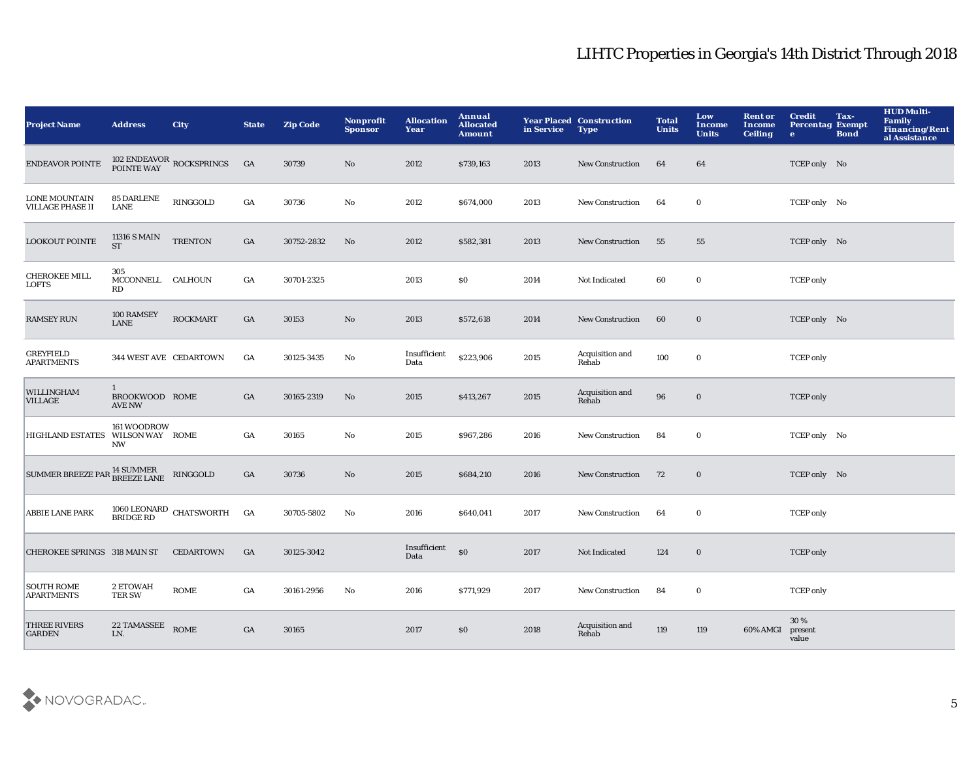| <b>Project Name</b>                                                                                  | <b>Address</b>                                  | <b>City</b>                            | <b>State</b> | <b>Zip Code</b> | <b>Nonprofit</b><br><b>Sponsor</b> | <b>Allocation</b><br>Year | Annual<br><b>Allocated</b><br><b>Amount</b> | in Service | <b>Year Placed Construction</b><br><b>Type</b> | <b>Total</b><br><b>Units</b> | Low<br><b>Income</b><br><b>Units</b> | <b>Rent or</b><br>Income<br><b>Ceiling</b> | <b>Credit</b><br><b>Percentag Exempt</b><br>$\bullet$ | Tax-<br><b>Bond</b> | <b>HUD Multi-</b><br>Family<br>Financing/Rent<br>al Assistance |
|------------------------------------------------------------------------------------------------------|-------------------------------------------------|----------------------------------------|--------------|-----------------|------------------------------------|---------------------------|---------------------------------------------|------------|------------------------------------------------|------------------------------|--------------------------------------|--------------------------------------------|-------------------------------------------------------|---------------------|----------------------------------------------------------------|
| <b>ENDEAVOR POINTE</b>                                                                               |                                                 | 102 ENDEAVOR ROCKSPRINGS<br>POINTE WAY | GA           | 30739           | $\mathbf{N}\mathbf{o}$             | 2012                      | \$739,163                                   | 2013       | New Construction                               | 64                           | 64                                   |                                            | TCEP only No                                          |                     |                                                                |
| <b>LONE MOUNTAIN</b><br><b>VILLAGE PHASE II</b>                                                      | <b>85 DARLENE</b><br>LANE                       | RINGGOLD                               | GA           | 30736           | No                                 | 2012                      | \$674,000                                   | 2013       | New Construction                               | 64                           | $\bf{0}$                             |                                            | TCEP only No                                          |                     |                                                                |
| <b>LOOKOUT POINTE</b>                                                                                | 11316 S MAIN<br><b>ST</b>                       | <b>TRENTON</b>                         | GA           | 30752-2832      | No                                 | 2012                      | \$582,381                                   | 2013       | <b>New Construction</b>                        | 55                           | 55                                   |                                            | TCEP only No                                          |                     |                                                                |
| <b>CHEROKEE MILL</b><br>LOFTS                                                                        | 305<br>MCCONNELL CALHOUN<br>RD                  |                                        | GA           | 30701-2325      |                                    | 2013                      | \$0                                         | 2014       | Not Indicated                                  | 60                           | $\mathbf 0$                          |                                            | <b>TCEP</b> only                                      |                     |                                                                |
| <b>RAMSEY RUN</b>                                                                                    | 100 RAMSEY<br>LANE                              | <b>ROCKMART</b>                        | GA           | 30153           | $\mathbf{N}\mathbf{o}$             | 2013                      | \$572,618                                   | 2014       | <b>New Construction</b>                        | 60                           | $\bf{0}$                             |                                            | TCEP only No                                          |                     |                                                                |
| <b>GREYFIELD</b><br><b>APARTMENTS</b>                                                                | 344 WEST AVE CEDARTOWN                          |                                        | GA           | 30125-3435      | No                                 | Insufficient<br>Data      | \$223,906                                   | 2015       | Acquisition and<br>Rehab                       | 100                          | $\bf{0}$                             |                                            | <b>TCEP</b> only                                      |                     |                                                                |
| WILLINGHAM<br>VILLAGE                                                                                | $\mathbf{1}$<br>BROOKWOOD ROME<br><b>AVE NW</b> |                                        | GA           | 30165-2319      | No                                 | 2015                      | \$413,267                                   | 2015       | Acquisition and<br>Rehab                       | 96                           | $\bf{0}$                             |                                            | <b>TCEP</b> only                                      |                     |                                                                |
| HIGHLAND ESTATES WILSON WAY ROME                                                                     | 161 WOODROW<br><b>NW</b>                        |                                        | GA           | 30165           | No                                 | 2015                      | \$967,286                                   | 2016       | New Construction                               | 84                           | $\bf{0}$                             |                                            | TCEP only No                                          |                     |                                                                |
| $\begin{array}{lll} \text{SUMMER BREEZE PAR}\xspace{14\text{ SUMMER}} & \text{RINGGOLD} \end{array}$ |                                                 |                                        | GA           | 30736           | No                                 | 2015                      | \$684,210                                   | 2016       | New Construction                               | 72                           | $\bf{0}$                             |                                            | TCEP only No                                          |                     |                                                                |
| <b>ABBIE LANE PARK</b>                                                                               |                                                 | $1060$ LEONARD CHATSWORTH BRIDGE RD    | GA           | 30705-5802      | $\mathbf{N}\mathbf{o}$             | 2016                      | \$640,041                                   | 2017       | <b>New Construction</b>                        | 64                           | $\mathbf 0$                          |                                            | <b>TCEP</b> only                                      |                     |                                                                |
| CHEROKEE SPRINGS 318 MAIN ST                                                                         |                                                 | <b>CEDARTOWN</b>                       | GA           | 30125-3042      |                                    | Insufficient<br>Data      | S <sub>0</sub>                              | 2017       | Not Indicated                                  | 124                          | $\bf{0}$                             |                                            | <b>TCEP</b> only                                      |                     |                                                                |
| <b>SOUTH ROME</b><br><b>APARTMENTS</b>                                                               | 2 ETOWAH<br><b>TER SW</b>                       | <b>ROME</b>                            | GA           | 30161-2956      | $\mathbf{N}\mathbf{o}$             | 2016                      | \$771,929                                   | 2017       | <b>New Construction</b>                        | 84                           | $\mathbf 0$                          |                                            | <b>TCEP</b> only                                      |                     |                                                                |
| <b>THREE RIVERS</b><br><b>GARDEN</b>                                                                 | <b>22 TAMASSEE</b><br>LN.                       | <b>ROME</b>                            | GA           | 30165           |                                    | 2017                      | \$0                                         | 2018       | Acquisition and<br>Rehab                       | 119                          | 119                                  | 60% AMGI                                   | 30%<br>present<br>value                               |                     |                                                                |